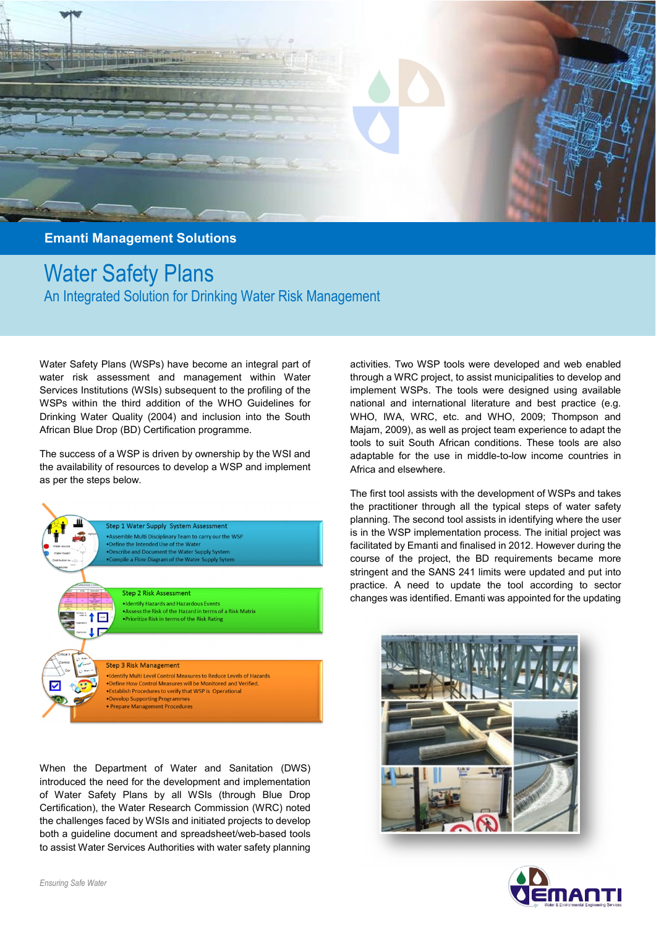

**Emanti Management Solutions** 

Water Safety Plans An Integrated Solution for Drinking Water Risk Management

Water Safety Plans (WSPs) have become an integral part of water risk assessment and management within Water Services Institutions (WSIs) subsequent to the profiling of the WSPs within the third addition of the WHO Guidelines for Drinking Water Quality (2004) and inclusion into the South African Blue Drop (BD) Certification programme.

The success of a WSP is driven by ownership by the WSI and the availability of resources to develop a WSP and implement as per the steps below.



When the Department of Water and Sanitation (DWS) introduced the need for the development and implementation of Water Safety Plans by all WSIs (through Blue Drop Certification), the Water Research Commission (WRC) noted the challenges faced by WSIs and initiated projects to develop both a guideline document and spreadsheet/web-based tools to assist Water Services Authorities with water safety planning

activities. Two WSP tools were developed and web enabled through a WRC project, to assist municipalities to develop and implement WSPs. The tools were designed using available national and international literature and best practice (e.g. WHO, IWA, WRC, etc. and WHO, 2009; Thompson and Majam, 2009), as well as project team experience to adapt the tools to suit South African conditions. These tools are also adaptable for the use in middle-to-low income countries in Africa and elsewhere.

The first tool assists with the development of WSPs and takes the practitioner through all the typical steps of water safety planning. The second tool assists in identifying where the user is in the WSP implementation process. The initial project was facilitated by Emanti and finalised in 2012. However during the course of the project, the BD requirements became more stringent and the SANS 241 limits were updated and put into practice. A need to update the tool according to sector changes was identified. Emanti was appointed for the updating